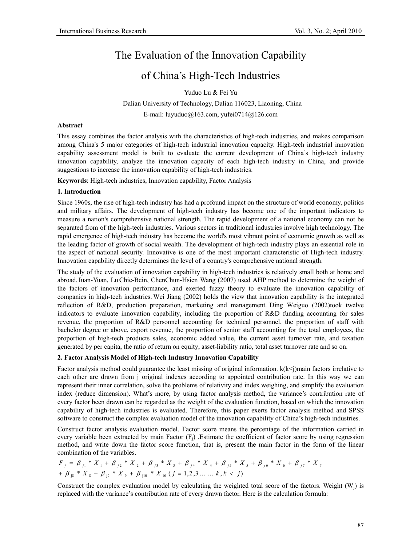# The Evaluation of the Innovation Capability

# of China's High-Tech Industries

Yuduo Lu & Fei Yu

 Dalian University of Technology, Dalian 116023, Liaoning, China E-mail: luyuduo@163.com, yufei0714@126.com

#### **Abstract**

This essay combines the factor analysis with the characteristics of high-tech industries, and makes comparison among China's 5 major categories of high-tech industrial innovation capacity. High-tech industrial innovation capability assessment model is built to evaluate the current development of China's high-tech industry innovation capability, analyze the innovation capacity of each high-tech industry in China, and provide suggestions to increase the innovation capability of high-tech industries.

**Keywords**: High-tech industries, Innovation capability, Factor Analysis

#### **1. Introduction**

Since 1960s, the rise of high-tech industry has had a profound impact on the structure of world economy, politics and military affairs. The development of high-tech industry has become one of the important indicators to measure a nation's comprehensive national strength. The rapid development of a national economy can not be separated from of the high-tech industries. Various sectors in traditional industries involve high technology. The rapid emergence of high-tech industry has become the world's most vibrant point of economic growth as well as the leading factor of growth of social wealth. The development of high-tech industry plays an essential role in the aspect of national security. Innovative is one of the most important characteristic of High-tech industry. Innovation capability directly determines the level of a country's comprehensive national strength.

The study of the evaluation of innovation capability in high-tech industries is relatively small both at home and abroad.Iuan-Yuan, LuChie-Bein, ChenChun-Hsien Wang (2007) used AHP method to determine the weight of the factors of innovation performance, and exerted fuzzy theory to evaluate the innovation capability of companies in high-tech industries. Wei Jiang (2002) holds the view that innovation capability is the integrated reflection of R&D, production preparation, marketing and management. Ding Weiguo (2002)took twelve indicators to evaluate innovation capability, including the proportion of R&D funding accounting for sales revenue, the proportion of R&D personnel accounting for technical personnel, the proportion of staff with bachelor degree or above, export revenue, the proportion of senior staff accounting for the total employees, the proportion of high-tech products sales, economic added value, the current asset turnover rate, and taxation generated by per capita, the ratio of return on equity, asset-liability ratio, total asset turnover rate and so on.

### **2. Factor Analysis Model of High-tech Industry Innovation Capability**

Factor analysis method could guarantee the least missing of original information.  $k(k<$ )main factors irrelative to each other are drawn from j original indexes according to appointed contribution rate. In this way we can represent their inner correlation, solve the problems of relativity and index weighing, and simplify the evaluation index (reduce dimension). What's more, by using factor analysis method, the variance's contribution rate of every factor been drawn can be regarded as the weight of the evaluation function, based on which the innovation capability of high-tech industries is evaluated. Therefore, this paper exerts factor analysis method and SPSS software to construct the complex evaluation model of the innovation capability of China's high-tech industries.

Construct factor analysis evaluation model. Factor score means the percentage of the information carried in every variable been extracted by main Factor  $(F_i)$ . Estimate the coefficient of factor score by using regression method, and write down the factor score function, that is, present the main factor in the form of the linear combination of the variables.

$$
F_j = \beta_{j1} * X_1 + \beta_{j2} * X_2 + \beta_{j3} * X_3 + \beta_{j4} * X_4 + \beta_{j5} * X_5 + \beta_{j6} * X_6 + \beta_{j7} * X_7
$$
  
+  $\beta_{j8} * X_8 + \beta_{j9} * X_9 + \beta_{j10} * X_{10} (j = 1, 2, 3, ..., k, k < j)$ 

Construct the complex evaluation model by calculating the weighted total score of the factors. Weight  $(W_i)$  is replaced with the variance's contribution rate of every drawn factor. Here is the calculation formula: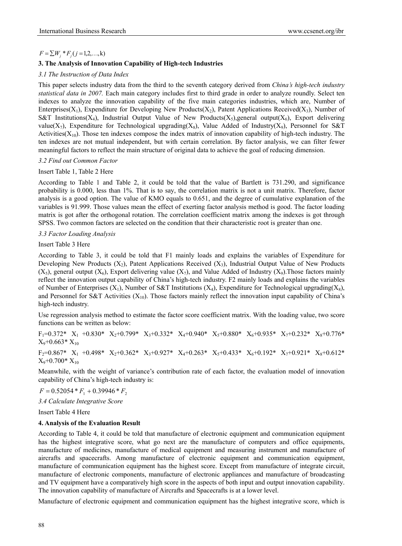# $F = \sum W_i * F_i (j = 1, 2, \ldots, k)$

# **3. The Analysis of Innovation Capability of High-tech Industries**

### *3.1 The Instruction of Data Index*

This paper selects industry data from the third to the seventh category derived from *China's high-tech industry statistical data in 2007.* Each main category includes first to third grade in order to analyze roundly. Select ten indexes to analyze the innovation capability of the five main categories industries, which are, Number of Enterprises(X<sub>1</sub>), Expenditure for Developing New Products(X<sub>2</sub>), Patent Applications Received(X<sub>3</sub>), Number of S&T Institutions(X<sub>4</sub>), Industrial Output Value of New Products(X<sub>5</sub>), general output(X<sub>6</sub>), Export delivering value(X<sub>7</sub>), Expenditure for Technological upgrading(X<sub>8</sub>), Value Added of Industry(X<sub>9</sub>), Personnel for S&T Activities( $X_{10}$ ). Those ten indexes compose the index matrix of innovation capability of high-tech industry. The ten indexes are not mutual independent, but with certain correlation. By factor analysis, we can filter fewer meaningful factors to reflect the main structure of original data to achieve the goal of reducing dimension.

### *3.2 Find out Common Factor*

### Insert Table 1, Table 2 Here

According to Table 1 and Table 2, it could be told that the value of Bartlett is 731.290, and significance probability is 0.000, less than 1%. That is to say, the correlation matrix is not a unit matrix. Therefore, factor analysis is a good option. The value of KMO equals to 0.651, and the degree of cumulative explanation of the variables is 91.999. Those values mean the effect of exerting factor analysis method is good. The factor loading matrix is got after the orthogonal rotation. The correlation coefficient matrix among the indexes is got through SPSS. Two common factors are selected on the condition that their characteristic root is greater than one.

### *3.3 Factor Loading Analysis*

#### Insert Table 3 Here

According to Table 3, it could be told that F1 mainly loads and explains the variables of Expenditure for Developing New Products  $(X_2)$ , Patent Applications Received  $(X_3)$ , Industrial Output Value of New Products  $(X_5)$ , general output  $(X_6)$ , Export delivering value  $(X_7)$ , and Value Added of Industry  $(X_9)$ . Those factors mainly reflect the innovation output capability of China's high-tech industry. F2 mainly loads and explains the variables of Number of Enterprises  $(X_1)$ , Number of S&T Institutions  $(X_4)$ , Expenditure for Technological upgrading $(X_8)$ , and Personnel for S&T Activities  $(X_{10})$ . Those factors mainly reflect the innovation input capability of China's high-tech industry.

Use regression analysis method to estimate the factor score coefficient matrix. With the loading value, two score functions can be written as below:

 $F_1=0.372*$   $X_1$  +0.830\*  $X_2+0.799*$   $X_3+0.332*$   $X_4+0.940*$   $X_5+0.880*$   $X_6+0.935*$   $X_7+0.232*$   $X_8+0.776*$  $X_9 + 0.663 * X_{10}$ 

 $F_2=0.867*$   $X_1$  +0.498\*  $X_2$ +0.362\*  $X_3$ +0.927\*  $X_4$ +0.263\*  $X_5$ +0.433\*  $X_6$ +0.192\*  $X_7$ +0.921\*  $X_8$ +0.612\*  $X_9$ +0.700\*  $X_{10}$ 

Meanwhile, with the weight of variance's contribution rate of each factor, the evaluation model of innovation capability of China's high-tech industry is:

 $F = 0.52054 * F_1 + 0.39946 * F_2$ 

*3.4 Calculate Integrative Score* 

Insert Table 4 Here

### **4. Analysis of the Evaluation Result**

According to Table 4, it could be told that manufacture of electronic equipment and communication equipment has the highest integrative score, what go next are the manufacture of computers and office equipments, manufacture of medicines, manufacture of medical equipment and measuring instrument and manufacture of aircrafts and spacecrafts. Among manufacture of electronic equipment and communication equipment, manufacture of communication equipment has the highest score. Except from manufacture of integrate circuit, manufacture of electronic components, manufacture of electronic appliances and manufacture of broadcasting and TV equipment have a comparatively high score in the aspects of both input and output innovation capability. The innovation capability of manufacture of Aircrafts and Spacecrafts is at a lower level.

Manufacture of electronic equipment and communication equipment has the highest integrative score, which is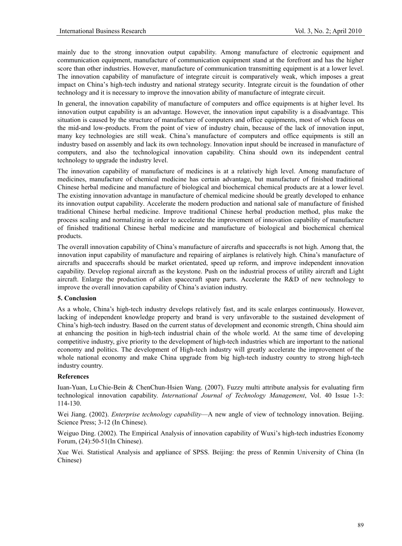mainly due to the strong innovation output capability. Among manufacture of electronic equipment and communication equipment, manufacture of communication equipment stand at the forefront and has the higher score than other industries. However, manufacture of communication transmitting equipment is at a lower level. The innovation capability of manufacture of integrate circuit is comparatively weak, which imposes a great impact on China's high-tech industry and national strategy security. Integrate circuit is the foundation of other technology and it is necessary to improve the innovation ability of manufacture of integrate circuit.

In general, the innovation capability of manufacture of computers and office equipments is at higher level. Its innovation output capability is an advantage. However, the innovation input capability is a disadvantage. This situation is caused by the structure of manufacture of computers and office equipments, most of which focus on the mid-and low-products. From the point of view of industry chain, because of the lack of innovation input, many key technologies are still weak. China's manufacture of computers and office equipments is still an industry based on assembly and lack its own technology. Innovation input should be increased in manufacture of computers, and also the technological innovation capability. China should own its independent central technology to upgrade the industry level.

The innovation capability of manufacture of medicines is at a relatively high level. Among manufacture of medicines, manufacture of chemical medicine has certain advantage, but manufacture of finished traditional Chinese herbal medicine and manufacture of biological and biochemical chemical products are at a lower level. The existing innovation advantage in manufacture of chemical medicine should be greatly developed to enhance its innovation output capability. Accelerate the modern production and national sale of manufacture of finished traditional Chinese herbal medicine. Improve traditional Chinese herbal production method, plus make the process scaling and normalizing in order to accelerate the improvement of innovation capability of manufacture of finished traditional Chinese herbal medicine and manufacture of biological and biochemical chemical products.

The overall innovation capability of China's manufacture of aircrafts and spacecrafts is not high. Among that, the innovation input capability of manufacture and repairing of airplanes is relatively high. China's manufacture of aircrafts and spacecrafts should be market orientated, speed up reform, and improve independent innovation capability. Develop regional aircraft as the keystone. Push on the industrial process of utility aircraft and Light aircraft. Enlarge the production of alien spacecraft spare parts. Accelerate the R&D of new technology to improve the overall innovation capability of China's aviation industry.

#### **5. Conclusion**

As a whole, China's high-tech industry develops relatively fast, and its scale enlarges continuously. However, lacking of independent knowledge property and brand is very unfavorable to the sustained development of China's high-tech industry. Based on the current status of development and economic strength, China should aim at enhancing the position in high-tech industrial chain of the whole world. At the same time of developing competitive industry, give priority to the development of high-tech industries which are important to the national economy and politics. The development of High-tech industry will greatly accelerate the improvement of the whole national economy and make China upgrade from big high-tech industry country to strong high-tech industry country.

#### **References**

Iuan-Yuan, Lu Chie-Bein & ChenChun-Hsien Wang. (2007). Fuzzy multi attribute analysis for evaluating firm technological innovation capability. *International Journal of Technology Management*, Vol. 40 Issue 1-3: 114-130.

Wei Jiang. (2002). *Enterprise technology capability*—A new angle of view of technology innovation. Beijing. Science Press; 3-12 (In Chinese).

Weiguo Ding. (2002). The Empirical Analysis of innovation capability of Wuxi's high-tech industries Economy Forum, (24):50-51(In Chinese).

Xue Wei. Statistical Analysis and appliance of SPSS. Beijing: the press of Renmin University of China (In Chinese)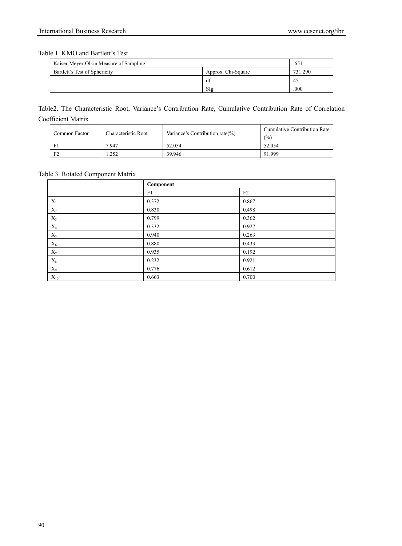## Table 1. KMO and Bartlett's Test

| Kaiser-Meyer-Olkin Measure of Sampling |                    | .65.    |
|----------------------------------------|--------------------|---------|
| Bartlett's Test of Sphericity          | Approx. Chi-Square | 731.290 |
|                                        | df                 | 45      |
|                                        | SIg                | .000    |

# Table2. The Characteristic Root, Variance's Contribution Rate, Cumulative Contribution Rate of Correlation Coefficient Matrix

| Common Factor | Characteristic Root | Variance's Contribution rate $(\%)$ | Cumulative Contribution Rate<br>(%) |
|---------------|---------------------|-------------------------------------|-------------------------------------|
|               | 7.947               | 52.054                              | 52.054                              |
| F2            | .252                | 39.946                              | 91.999                              |

## Table 3. Rotated Component Matrix

|                | Component |       |
|----------------|-----------|-------|
|                | F1        | F2    |
| $X_1$          | 0.372     | 0.867 |
| $\mathbf{X}_2$ | 0.830     | 0.498 |
| $\mathbf{X}_3$ | 0.799     | 0.362 |
| $X_4$          | 0.332     | 0.927 |
| $X_5$          | 0.940     | 0.263 |
| $X_6$          | 0.880     | 0.433 |
| $X_7$          | 0.935     | 0.192 |
| $\rm X_8$      | 0.232     | 0.921 |
| $X_9$          | 0.776     | 0.612 |
| $X_{10}$       | 0.663     | 0.700 |